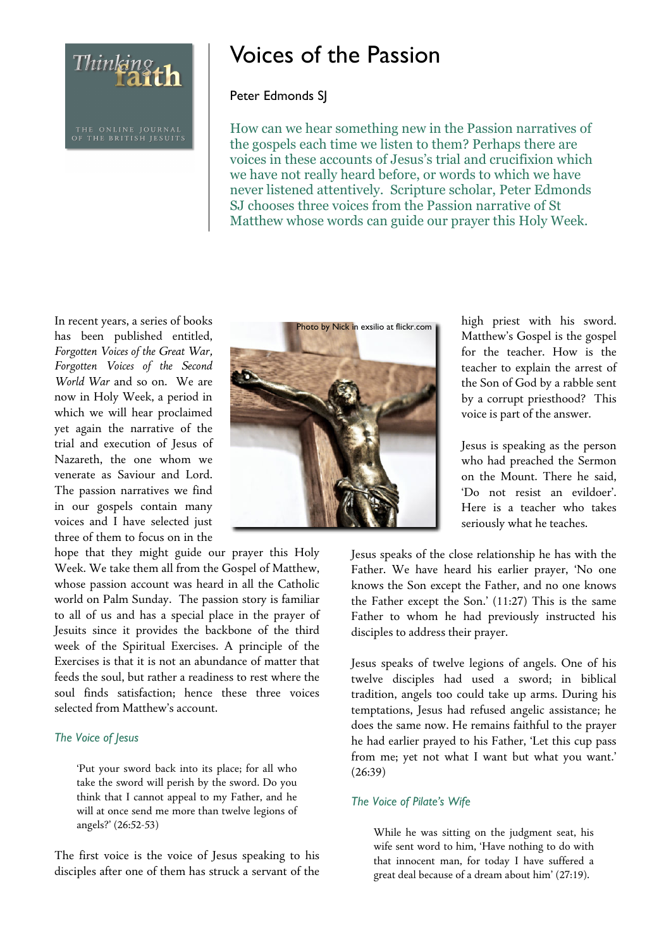Thinking<br>Taith

# Voices of the Passion

# Peter Edmonds SJ

How can we hear something new in the Passion narratives of the gospels each time we listen to them? Perhaps there are voices in these accounts of Jesus's trial and crucifixion which we have not really heard before, or words to which we have never listened attentively. Scripture scholar, Peter Edmonds SJ chooses three voices from the Passion narrative of St Matthew whose words can guide our prayer this Holy Week.

In recent years, a series of books has been published entitled, *Forgotten Voices of the Great War, Forgotten Voices of the Second World War* and so on. We are now in Holy Week, a period in which we will hear proclaimed yet again the narrative of the trial and execution of Jesus of Nazareth, the one whom we venerate as Saviour and Lord. The passion narratives we find in our gospels contain many voices and I have selected just three of them to focus on in the

hope that they might guide our prayer this Holy Week. We take them all from the Gospel of Matthew, whose passion account was heard in all the Catholic world on Palm Sunday. The passion story is familiar to all of us and has a special place in the prayer of Jesuits since it provides the backbone of the third week of the Spiritual Exercises. A principle of the Exercises is that it is not an abundance of matter that feeds the soul, but rather a readiness to rest where the soul finds satisfaction; hence these three voices selected from Matthew's account.

### *The Voice of Jesus*

'Put your sword back into its place; for all who take the sword will perish by the sword. Do you think that I cannot appeal to my Father, and he will at once send me more than twelve legions of angels?' (26:52-53)

The first voice is the voice of Jesus speaking to his disciples after one of them has struck a servant of the



high priest with his sword. Matthew's Gospel is the gospel for the teacher. How is the teacher to explain the arrest of the Son of God by a rabble sent by a corrupt priesthood? This voice is part of the answer.

Jesus is speaking as the person who had preached the Sermon on the Mount. There he said, 'Do not resist an evildoer'. Here is a teacher who takes seriously what he teaches.

Jesus speaks of the close relationship he has with the Father. We have heard his earlier prayer, 'No one knows the Son except the Father, and no one knows the Father except the Son.' (11:27) This is the same Father to whom he had previously instructed his disciples to address their prayer.

Jesus speaks of twelve legions of angels. One of his twelve disciples had used a sword; in biblical tradition, angels too could take up arms. During his temptations, Jesus had refused angelic assistance; he does the same now. He remains faithful to the prayer he had earlier prayed to his Father, 'Let this cup pass from me; yet not what I want but what you want.' (26:39)

### *The Voice of Pilate's Wife*

While he was sitting on the judgment seat, his wife sent word to him, 'Have nothing to do with that innocent man, for today I have suffered a great deal because of a dream about him' (27:19).